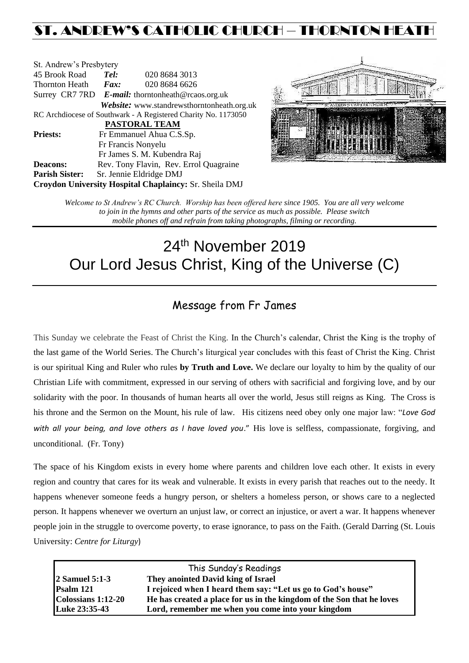## ST. ANDREW'S CATHOLIC CHURCH – THORNTON HEAT

| St. Andrew's Presbytery                                        |                                                   |                                                        |  |  |  |
|----------------------------------------------------------------|---------------------------------------------------|--------------------------------------------------------|--|--|--|
| 45 Brook Road                                                  | Tel:                                              | 020 8684 3013                                          |  |  |  |
| Thornton Heath                                                 | Fax:                                              | 020 8684 6626                                          |  |  |  |
|                                                                | Surrey CR7 7RD E-mail: thorntonheath@rcaos.org.uk |                                                        |  |  |  |
|                                                                |                                                   | Website: www.standrewsthorntonheath.org.uk             |  |  |  |
| RC Archdiocese of Southwark - A Registered Charity No. 1173050 |                                                   |                                                        |  |  |  |
| <b>PASTORAL TEAM</b>                                           |                                                   |                                                        |  |  |  |
| <b>Priests:</b>                                                |                                                   | Fr Emmanuel Ahua C.S.Sp.                               |  |  |  |
|                                                                |                                                   | Fr Francis Nonyelu                                     |  |  |  |
|                                                                |                                                   | Fr James S. M. Kubendra Raj                            |  |  |  |
| <b>Deacons:</b>                                                |                                                   | Rev. Tony Flavin, Rev. Errol Quagraine                 |  |  |  |
| <b>Parish Sister:</b>                                          |                                                   | Sr. Jennie Eldridge DMJ                                |  |  |  |
|                                                                |                                                   | Croydon University Hospital Chaplaincy: Sr. Sheila DMJ |  |  |  |



*Welcome to St Andrew's RC Church. Worship has been offered here since 1905. You are all very welcome to join in the hymns and other parts of the service as much as possible. Please switch mobile phones off and refrain from taking photographs, filming or recording.*

# 24<sup>th</sup> November 2019 Our Lord Jesus Christ, King of the Universe (C)

### Message from Fr James

This Sunday we celebrate the Feast of Christ the King. In the Church's calendar, Christ the King is the trophy of the last game of the World Series. The Church's liturgical year concludes with this feast of Christ the King. Christ is our spiritual King and Ruler who rules **by Truth and Love.** We declare our loyalty to him by the quality of our Christian Life with commitment, expressed in our serving of others with sacrificial and forgiving love, and by our solidarity with the poor. In thousands of human hearts all over the world, Jesus still reigns as King. The Cross is his throne and the Sermon on the Mount, his rule of law. His citizens need obey only one major law: "*Love God with all your being, and love others as I have loved you*." His love is selfless, compassionate, forgiving, and unconditional. (Fr. Tony)

The space of his Kingdom exists in every home where parents and children love each other. It exists in every region and country that cares for its weak and vulnerable. It exists in every parish that reaches out to the needy. It happens whenever someone feeds a hungry person, or shelters a homeless person, or shows care to a neglected person. It happens whenever we overturn an unjust law, or correct an injustice, or avert a war. It happens whenever people join in the struggle to overcome poverty, to erase ignorance, to pass on the Faith. (Gerald Darring (St. Louis University: *Centre for Liturgy*)

| This Sunday's Readings     |                                                                       |  |  |
|----------------------------|-----------------------------------------------------------------------|--|--|
| $ 2 \text{ Samuel } 5:1-3$ | They anointed David king of Israel                                    |  |  |
| Psalm 121                  | I rejoiced when I heard them say: "Let us go to God's house"          |  |  |
| Colossians 1:12-20         | He has created a place for us in the kingdom of the Son that he loves |  |  |
| Luke 23:35-43              | Lord, remember me when you come into your kingdom                     |  |  |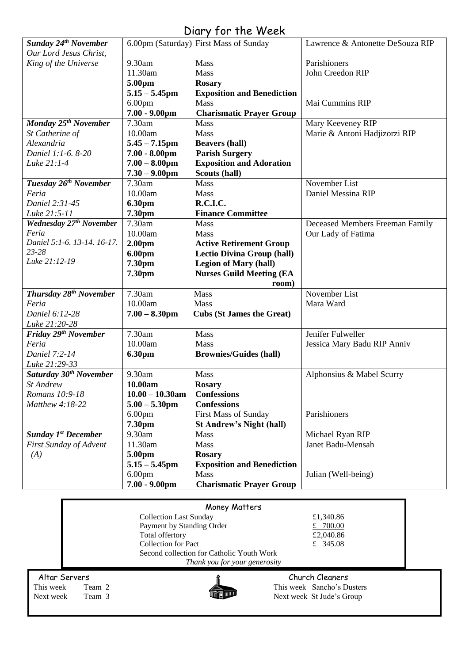### Diary for the Week

| Sunday 24 <sup>th</sup> November    |                               | 6.00pm (Saturday) First Mass of Sunday | Lawrence & Antonette DeSouza RIP |  |
|-------------------------------------|-------------------------------|----------------------------------------|----------------------------------|--|
| Our Lord Jesus Christ,              |                               |                                        |                                  |  |
| King of the Universe                | 9.30am                        | Mass                                   | Parishioners                     |  |
|                                     | 11.30am                       | Mass                                   | John Creedon RIP                 |  |
|                                     | 5.00pm                        | <b>Rosary</b>                          |                                  |  |
|                                     | $5.15 - 5.45$ pm              | <b>Exposition and Benediction</b>      |                                  |  |
|                                     | 6.00 <sub>pm</sub>            | Mass                                   | Mai Cummins RIP                  |  |
|                                     | $7.00 - 9.00$ pm              | <b>Charismatic Prayer Group</b>        |                                  |  |
| Monday 25 <sup>th</sup> November    | 7.30am                        | <b>Mass</b>                            | Mary Keeveney RIP                |  |
| St Catherine of                     | 10.00am                       | Mass                                   | Marie & Antoni Hadjizorzi RIP    |  |
| Alexandria                          | $5.45 - 7.15$ pm              | <b>Beavers (hall)</b>                  |                                  |  |
| Daniel 1:1-6. 8-20                  | $7.00 - 8.00$ pm              | <b>Parish Surgery</b>                  |                                  |  |
| Luke 21:1-4                         | $7.00 - 8.00$ pm              | <b>Exposition and Adoration</b>        |                                  |  |
|                                     | $7.30 - 9.00$ pm              | Scouts (hall)                          |                                  |  |
| Tuesday 26 <sup>th</sup> November   | 7.30am                        | Mass                                   | November List                    |  |
| Feria                               | 10.00am                       | Mass                                   | Daniel Messina RIP               |  |
| Daniel 2:31-45                      | <b>6.30pm</b>                 | R.C.I.C.                               |                                  |  |
| Luke 21:5-11                        | 7.30pm                        | <b>Finance Committee</b>               |                                  |  |
| Wednesday 27 <sup>th</sup> November | 7.30am                        | Mass                                   | Deceased Members Freeman Family  |  |
| Feria                               | 10.00am                       | Mass                                   | Our Lady of Fatima               |  |
| Daniel 5:1-6. 13-14. 16-17.         | 2.00 <sub>pm</sub>            | <b>Active Retirement Group</b>         |                                  |  |
| 23-28                               | 6.00pm                        | <b>Lectio Divina Group (hall)</b>      |                                  |  |
| Luke 21:12-19                       | 7.30pm                        | <b>Legion of Mary (hall)</b>           |                                  |  |
|                                     | 7.30pm                        | <b>Nurses Guild Meeting (EA</b>        |                                  |  |
|                                     |                               | room)                                  |                                  |  |
| Thursday 28 <sup>th</sup> November  | 7.30am                        | Mass                                   | November List                    |  |
| Feria                               | 10.00am                       | Mass                                   | Mara Ward                        |  |
| Daniel 6:12-28                      | $7.00 - 8.30$ pm              | <b>Cubs (St James the Great)</b>       |                                  |  |
| Luke 21:20-28                       |                               |                                        |                                  |  |
| Friday 29 <sup>th</sup> November    | 7.30am                        | Mass                                   | Jenifer Fulweller                |  |
| Feria                               | 10.00am                       | Mass                                   | Jessica Mary Badu RIP Anniv      |  |
| Daniel 7:2-14                       | 6.30pm                        | <b>Brownies/Guides (hall)</b>          |                                  |  |
| Luke 21:29-33                       |                               |                                        |                                  |  |
| Saturday 30 <sup>th</sup> November  | 9.30am                        | Mass                                   | Alphonsius & Mabel Scurry        |  |
| St Andrew                           | 10.00am                       | <b>Rosary</b>                          |                                  |  |
| Romans 10:9-18                      | $10.00 - 10.30$ am            | <b>Confessions</b>                     |                                  |  |
| Matthew 4:18-22                     | $5.00 - 5.30$ pm              | <b>Confessions</b>                     |                                  |  |
|                                     | 6.00 <sub>pm</sub>            | <b>First Mass of Sunday</b>            | Parishioners                     |  |
|                                     | 7.30pm                        | <b>St Andrew's Night (hall)</b>        |                                  |  |
| <b>Sunday 1st December</b>          | 9.30am                        | Mass                                   | Michael Ryan RIP                 |  |
| First Sunday of Advent              | 11.30am                       | Mass                                   | Janet Badu-Mensah                |  |
| (A)                                 | 5.00pm                        | <b>Rosary</b>                          |                                  |  |
|                                     | $5.15 - 5.45$ pm              | <b>Exposition and Benediction</b>      |                                  |  |
|                                     | 6.00 <sub>pm</sub>            | Mass                                   | Julian (Well-being)              |  |
|                                     | $7.00 - 9.00$ pm              | <b>Charismatic Prayer Group</b>        |                                  |  |
|                                     |                               |                                        |                                  |  |
| Money Matters                       |                               |                                        |                                  |  |
|                                     | <b>Collection Last Sunday</b> |                                        | £1,340.86                        |  |
|                                     | Payment by Standing Order     |                                        | £ $700.00$                       |  |
|                                     | Total offertory               |                                        | £2,040.86                        |  |

Altar Servers **Church Cleaners Church Cleaners** 



Second collection for Catholic Youth Work

Collection for Pact  $\qquad \qquad \text{£} \quad 345.08$ 

*Thank you for your generosity*

This week Team 2 This week Sancho's Dusters<br>
Next week Team 3 This week St Jude's Group Next week Team 3 Next week St Jude's Group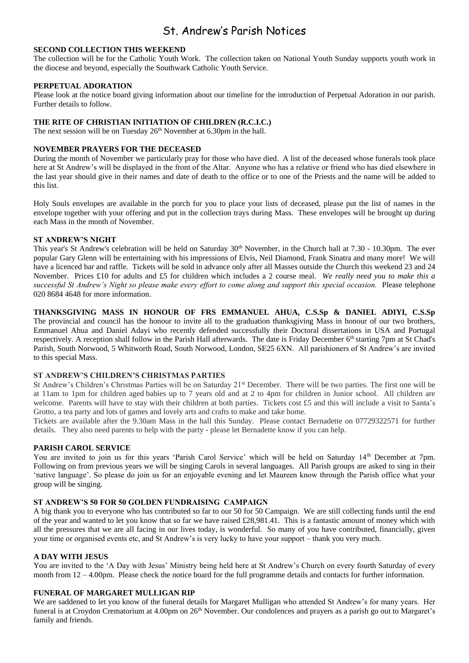### St. Andrew's Parish Notices

#### **SECOND COLLECTION THIS WEEKEND**

The collection will be for the Catholic Youth Work. The collection taken on National Youth Sunday supports youth work in the diocese and beyond, especially the Southwark Catholic Youth Service.

#### **PERPETUAL ADORATION**

Please look at the notice board giving information about our timeline for the introduction of Perpetual Adoration in our parish. Further details to follow.

#### **THE RITE OF CHRISTIAN INITIATION OF CHILDREN (R.C.I.C.)**

The next session will be on Tuesday 26<sup>th</sup> November at 6.30pm in the hall.

#### **NOVEMBER PRAYERS FOR THE DECEASED**

During the month of November we particularly pray for those who have died. A list of the deceased whose funerals took place here at St Andrew's will be displayed in the front of the Altar. Anyone who has a relative or friend who has died elsewhere in the last year should give in their names and date of death to the office or to one of the Priests and the name will be added to this list.

Holy Souls envelopes are available in the porch for you to place your lists of deceased, please put the list of names in the envelope together with your offering and put in the collection trays during Mass. These envelopes will be brought up during each Mass in the month of November.

#### **ST ANDREW'S NIGHT**

This year's St Andrew's celebration will be held on Saturday 30<sup>th</sup> November, in the Church hall at 7.30 - 10.30pm. The ever popular Gary Glenn will be entertaining with his impressions of Elvis, Neil Diamond, Frank Sinatra and many more! We will have a licenced bar and raffle. Tickets will be sold in advance only after all Masses outside the Church this weekend 23 and 24 November. Prices £10 for adults and £5 for children which includes a 2 course meal. *We really need you to make this a successful St Andrew's Night so please make every effort to come along and support this special occasion.* Please telephone 020 8684 4648 for more information.

**THANKSGIVING MASS IN HONOUR OF FRS EMMANUEL AHUA, C.S.Sp & DANIEL ADIYI, C.S.Sp** The provincial and council has the honour to invite all to the graduation thanksgiving Mass in honour of our two brothers, Emmanuel Ahua and Daniel Adayi who recently defended successfully their Doctoral dissertations in USA and Portugal respectively. A reception shall follow in the Parish Hall afterwards. The date is Friday December 6<sup>th</sup> starting 7pm at St Chad's Parish, South Norwood, 5 Whitworth Road, South Norwood, London, SE25 6XN. All parishioners of St Andrew's are invited to this special Mass.

#### **ST ANDREW'S CHILDREN'S CHRISTMAS PARTIES**

St Andrew's Children's Christmas Parties will be on Saturday 21<sup>st</sup> December. There will be two parties. The first one will be at 11am to 1pm for children aged babies up to 7 years old and at 2 to 4pm for children in Junior school. All children are welcome. Parents will have to stay with their children at both parties. Tickets cost £5 and this will include a visit to Santa's Grotto, a tea party and lots of games and lovely arts and crafts to make and take home.

Tickets are available after the 9.30am Mass in the hall this Sunday. Please contact Bernadette on 07729322571 for further details. They also need parents to help with the party - please let Bernadette know if you can help.

#### **PARISH CAROL SERVICE**

You are invited to join us for this years 'Parish Carol Service' which will be held on Saturday 14<sup>th</sup> December at 7pm. Following on from previous years we will be singing Carols in several languages. All Parish groups are asked to sing in their 'native language'. So please do join us for an enjoyable evening and let Maureen know through the Parish office what your group will be singing.

#### **ST ANDREW'S 50 FOR 50 GOLDEN FUNDRAISING CAMPAIGN**

A big thank you to everyone who has contributed so far to our 50 for 50 Campaign. We are still collecting funds until the end of the year and wanted to let you know that so far we have raised  $£28,981.41$ . This is a fantastic amount of money which with all the pressures that we are all facing in our lives today, is wonderful. So many of you have contributed, financially, given your time or organised events etc, and St Andrew's is very lucky to have your support – thank you very much.

#### **A DAY WITH JESUS**

You are invited to the 'A Day with Jesus' Ministry being held here at St Andrew's Church on every fourth Saturday of every month from 12 – 4.00pm. Please check the notice board for the full programme details and contacts for further information.

#### **FUNERAL OF MARGARET MULLIGAN RIP**

We are saddened to let you know of the funeral details for Margaret Mulligan who attended St Andrew's for many years. Her funeral is at Croydon Crematorium at  $4.00 \text{pm}$  on  $26^{\text{th}}$  November. Our condolences and prayers as a parish go out to Margaret's family and friends.